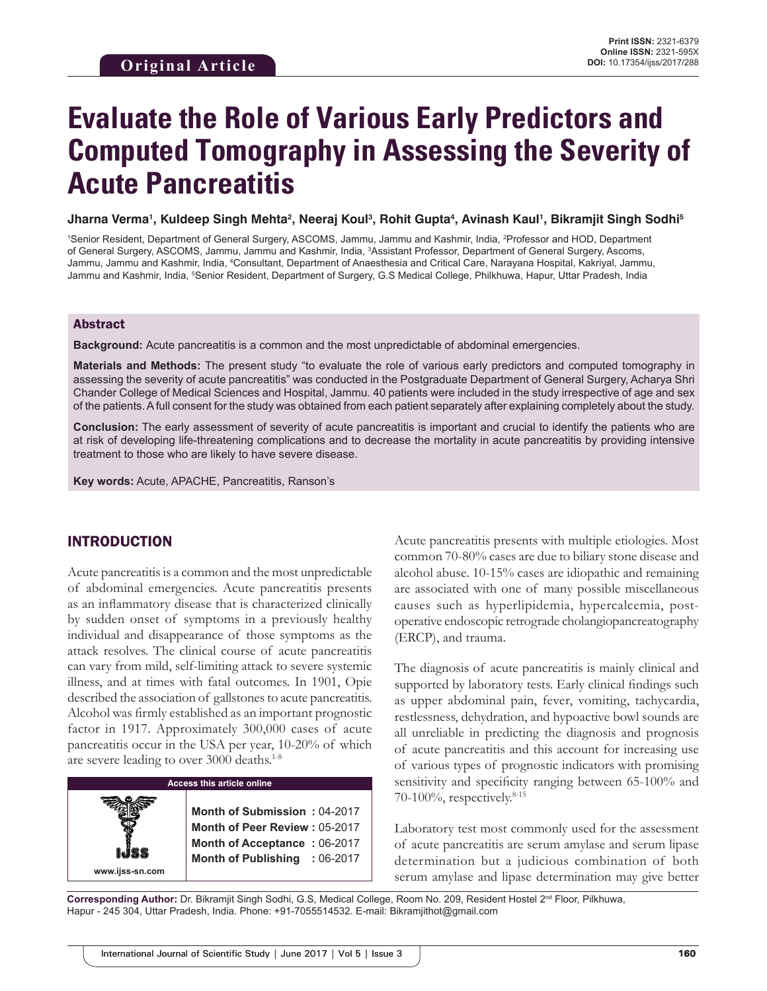# **Evaluate the Role of Various Early Predictors and Computed Tomography in Assessing the Severity of Acute Pancreatitis**

Jharna Verma', Kuldeep Singh Mehta<sup>2</sup>, Neeraj Koul<sup>3</sup>, Rohit Gupta<sup>4</sup>, Avinash Kaul', Bikramjit Singh Sodhi<sup>s</sup>

<sup>1</sup>Senior Resident, Department of General Surgery, ASCOMS, Jammu, Jammu and Kashmir, India, <sup>2</sup>Professor and HOD, Department of General Surgery, ASCOMS, Jammu, Jammu and Kashmir, India, 3 Assistant Professor, Department of General Surgery, Ascoms, Jammu, Jammu and Kashmir, India, <sup>4</sup>Consultant, Department of Anaesthesia and Critical Care, Narayana Hospital, Kakriyal, Jammu, Jammu and Kashmir, India, <sup>s</sup>Senior Resident, Department of Surgery, G.S Medical College, Philkhuwa, Hapur, Uttar Pradesh, India

#### Abstract

**Background:** Acute pancreatitis is a common and the most unpredictable of abdominal emergencies.

**Materials and Methods:** The present study "to evaluate the role of various early predictors and computed tomography in assessing the severity of acute pancreatitis" was conducted in the Postgraduate Department of General Surgery, Acharya Shri Chander College of Medical Sciences and Hospital, Jammu. 40 patients were included in the study irrespective of age and sex of the patients. Afull consent for the study was obtained from each patient separately after explaining completely about the study.

**Conclusion:** The early assessment of severity of acute pancreatitis is important and crucial to identify the patients who are at risk of developing life-threatening complications and to decrease the mortality in acute pancreatitis by providing intensive treatment to those who are likely to have severe disease.

**Key words:** Acute, APACHE, Pancreatitis, Ranson's

# INTRODUCTION

Acute pancreatitis is a common and the most unpredictable of abdominal emergencies. Acute pancreatitis presents as an inflammatory disease that is characterized clinically by sudden onset of symptoms in a previously healthy individual and disappearance of those symptoms as the attack resolves. The clinical course of acute pancreatitis can vary from mild, self-limiting attack to severe systemic illness, and at times with fatal outcomes. In 1901, Opie described the association of gallstones to acute pancreatitis. Alcohol was firmly established as an important prognostic factor in 1917. Approximately 300,000 cases of acute pancreatitis occur in the USA per year, 10-20% of which are severe leading to over 3000 deaths.<sup>1-8</sup>

| ss this article online |  |  |
|------------------------|--|--|
|                        |  |  |

Acce

**www.ijss-sn.com**

**Month of Submission :** 04-2017 **Month of Peer Review :** 05-2017 **Month of Acceptance :** 06-2017 **Month of Publishing :** 06-2017 Acute pancreatitis presents with multiple etiologies. Most common 70-80% cases are due to biliary stone disease and alcohol abuse. 10-15% cases are idiopathic and remaining are associated with one of many possible miscellaneous causes such as hyperlipidemia, hypercalcemia, postoperative endoscopic retrograde cholangiopancreatography (ERCP), and trauma.

The diagnosis of acute pancreatitis is mainly clinical and supported by laboratory tests. Early clinical findings such as upper abdominal pain, fever, vomiting, tachycardia, restlessness, dehydration, and hypoactive bowl sounds are all unreliable in predicting the diagnosis and prognosis of acute pancreatitis and this account for increasing use of various types of prognostic indicators with promising sensitivity and specificity ranging between 65-100% and 70-100%, respectively.8-15

Laboratory test most commonly used for the assessment of acute pancreatitis are serum amylase and serum lipase determination but a judicious combination of both serum amylase and lipase determination may give better

Corresponding Author: Dr. Bikramjit Singh Sodhi, G.S, Medical College, Room No. 209, Resident Hostel 2<sup>nd</sup> Floor, Pilkhuwa, Hapur - 245 304, Uttar Pradesh, India. Phone: +91-7055514532. E-mail: Bikramjithot@gmail.com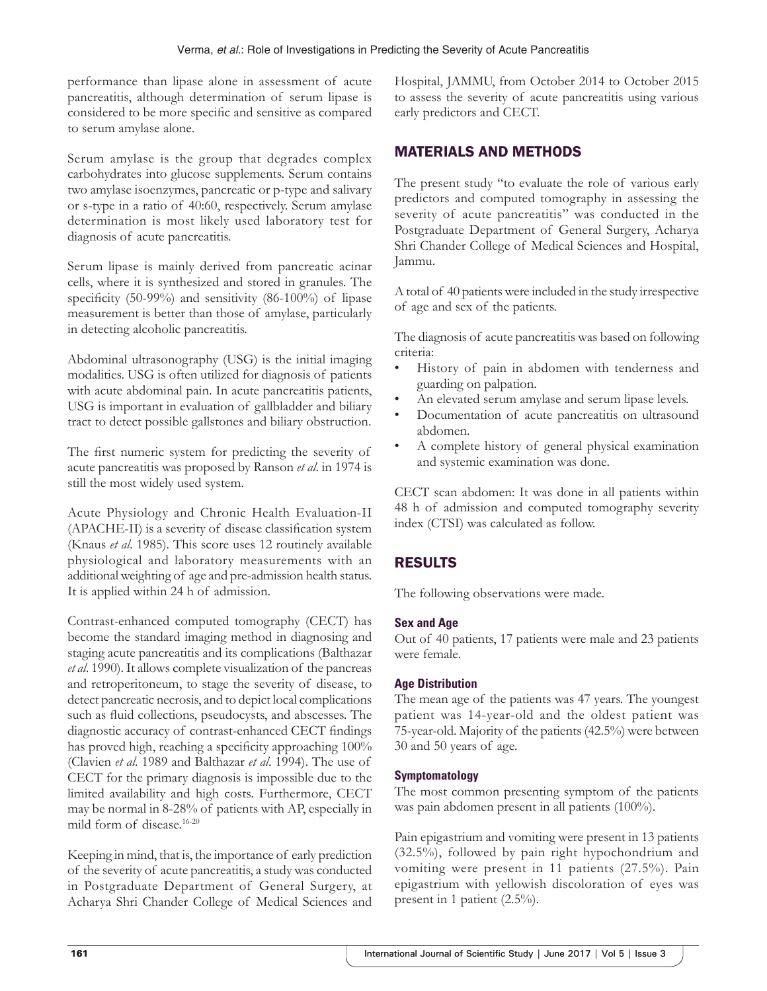performance than lipase alone in assessment of acute pancreatitis, although determination of serum lipase is considered to be more specific and sensitive as compared to serum amylase alone.

Serum amylase is the group that degrades complex carbohydrates into glucose supplements. Serum contains two amylase isoenzymes, pancreatic or p-type and salivary or s-type in a ratio of 40:60, respectively. Serum amylase determination is most likely used laboratory test for diagnosis of acute pancreatitis.

Serum lipase is mainly derived from pancreatic acinar cells, where it is synthesized and stored in granules. The specificity (50-99%) and sensitivity (86-100%) of lipase measurement is better than those of amylase, particularly in detecting alcoholic pancreatitis.

Abdominal ultrasonography (USG) is the initial imaging modalities. USG is often utilized for diagnosis of patients with acute abdominal pain. In acute pancreatitis patients, USG is important in evaluation of gallbladder and biliary tract to detect possible gallstones and biliary obstruction.

The first numeric system for predicting the severity of acute pancreatitis was proposed by Ranson *et al*. in 1974 is still the most widely used system.

Acute Physiology and Chronic Health Evaluation-II (APACHE-II) is a severity of disease classification system (Knaus *et al*. 1985). This score uses 12 routinely available physiological and laboratory measurements with an additional weighting of age and pre-admission health status. It is applied within 24 h of admission.

Contrast-enhanced computed tomography (CECT) has become the standard imaging method in diagnosing and staging acute pancreatitis and its complications (Balthazar *et al*. 1990). It allows complete visualization of the pancreas and retroperitoneum, to stage the severity of disease, to detect pancreatic necrosis, and to depict local complications such as fluid collections, pseudocysts, and abscesses. The diagnostic accuracy of contrast-enhanced CECT findings has proved high, reaching a specificity approaching 100% (Clavien *et al*. 1989 and Balthazar *et al*. 1994). The use of CECT for the primary diagnosis is impossible due to the limited availability and high costs. Furthermore, CECT may be normal in 8-28% of patients with AP, especially in mild form of disease.16-20

Keeping in mind, that is, the importance of early prediction of the severity of acute pancreatitis, a study was conducted in Postgraduate Department of General Surgery, at Acharya Shri Chander College of Medical Sciences and

Hospital, JAMMU, from October 2014 to October 2015 to assess the severity of acute pancreatitis using various early predictors and CECT.

# MATERIALS AND METHODS

The present study "to evaluate the role of various early predictors and computed tomography in assessing the severity of acute pancreatitis" was conducted in the Postgraduate Department of General Surgery, Acharya Shri Chander College of Medical Sciences and Hospital, Jammu.

A total of 40 patients were included in the study irrespective of age and sex of the patients.

The diagnosis of acute pancreatitis was based on following criteria:

- History of pain in abdomen with tenderness and guarding on palpation.
- An elevated serum amylase and serum lipase levels.
- Documentation of acute pancreatitis on ultrasound abdomen.
- A complete history of general physical examination and systemic examination was done.

CECT scan abdomen: It was done in all patients within 48 h of admission and computed tomography severity index (CTSI) was calculated as follow.

# RESULTS

The following observations were made.

#### **Sex and Age**

Out of 40 patients, 17 patients were male and 23 patients were female.

#### **Age Distribution**

The mean age of the patients was 47 years. The youngest patient was 14-year-old and the oldest patient was 75-year-old. Majority of the patients (42.5%) were between 30 and 50 years of age.

#### **Symptomatology**

The most common presenting symptom of the patients was pain abdomen present in all patients (100%).

Pain epigastrium and vomiting were present in 13 patients (32.5%), followed by pain right hypochondrium and vomiting were present in 11 patients (27.5%). Pain epigastrium with yellowish discoloration of eyes was present in 1 patient (2.5%).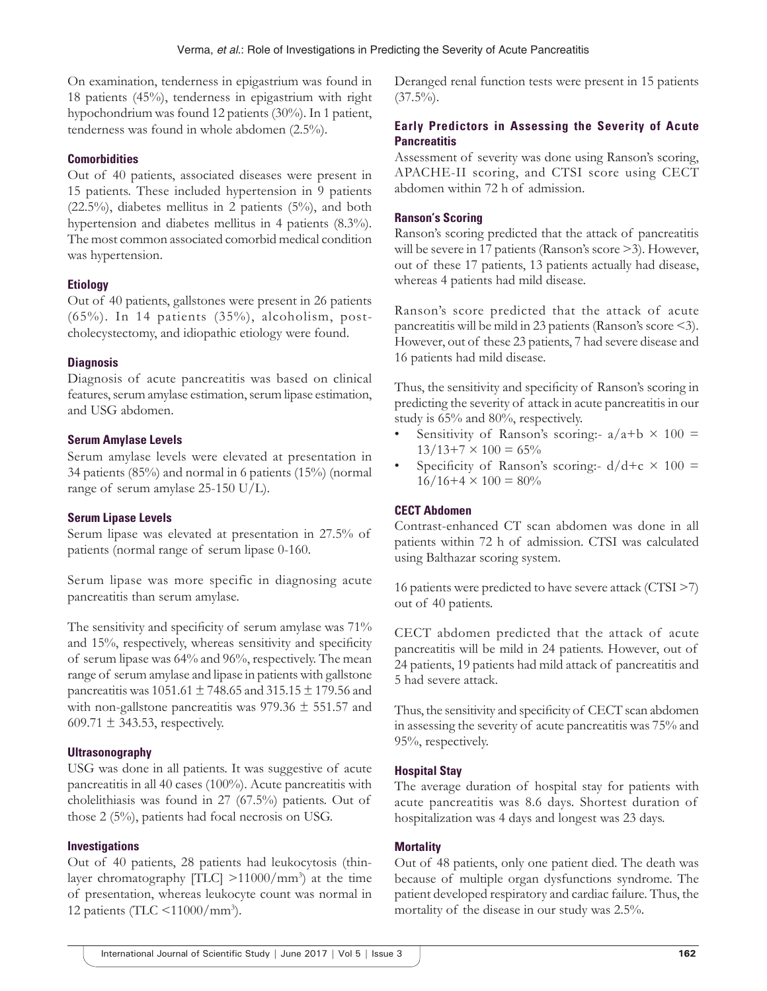On examination, tenderness in epigastrium was found in 18 patients (45%), tenderness in epigastrium with right hypochondrium was found 12 patients (30%). In 1 patient, tenderness was found in whole abdomen (2.5%).

# **Comorbidities**

Out of 40 patients, associated diseases were present in 15 patients. These included hypertension in 9 patients (22.5%), diabetes mellitus in 2 patients (5%), and both hypertension and diabetes mellitus in 4 patients (8.3%). The most common associated comorbid medical condition was hypertension.

## **Etiology**

Out of 40 patients, gallstones were present in 26 patients (65%). In 14 patients (35%), alcoholism, postcholecystectomy, and idiopathic etiology were found.

## **Diagnosis**

Diagnosis of acute pancreatitis was based on clinical features, serum amylase estimation, serum lipase estimation, and USG abdomen.

## **Serum Amylase Levels**

Serum amylase levels were elevated at presentation in 34 patients (85%) and normal in 6 patients (15%) (normal range of serum amylase 25-150 U/L).

#### **Serum Lipase Levels**

Serum lipase was elevated at presentation in 27.5% of patients (normal range of serum lipase 0-160.

Serum lipase was more specific in diagnosing acute pancreatitis than serum amylase.

The sensitivity and specificity of serum amylase was  $71\%$ and 15%, respectively, whereas sensitivity and specificity of serum lipase was 64% and 96%, respectively. The mean range of serum amylase and lipase in patients with gallstone pancreatitis was 1051.61 ± 748.65 and 315.15 ± 179.56 and with non-gallstone pancreatitis was  $979.36 \pm 551.57$  and 609.71  $\pm$  343.53, respectively.

# **Ultrasonography**

USG was done in all patients. It was suggestive of acute pancreatitis in all 40 cases (100%). Acute pancreatitis with cholelithiasis was found in 27 (67.5%) patients. Out of those 2 (5%), patients had focal necrosis on USG.

# **Investigations**

Out of 40 patients, 28 patients had leukocytosis (thinlayer chromatography  $|TLC| > 11000/mm^3$  at the time of presentation, whereas leukocyte count was normal in 12 patients (TLC <11000/mm3 ).

Deranged renal function tests were present in 15 patients  $(37.5\%)$ .

# **Early Predictors in Assessing the Severity of Acute Pancreatitis**

Assessment of severity was done using Ranson's scoring, APACHE-II scoring, and CTSI score using CECT abdomen within 72 h of admission.

## **Ranson's Scoring**

Ranson's scoring predicted that the attack of pancreatitis will be severe in 17 patients (Ranson's score >3). However, out of these 17 patients, 13 patients actually had disease, whereas 4 patients had mild disease.

Ranson's score predicted that the attack of acute pancreatitis will be mild in 23 patients (Ranson's score <3). However, out of these 23 patients, 7 had severe disease and 16 patients had mild disease.

Thus, the sensitivity and specificity of Ranson's scoring in predicting the severity of attack in acute pancreatitis in our study is 65% and 80%, respectively.

- Sensitivity of Ranson's scoring:-  $a/a+b \times 100 =$  $13/13+7 \times 100 = 65\%$
- Specificity of Ranson's scoring:-  $d/d+c \times 100 =$  $16/16+4 \times 100 = 80\%$

# **CECT Abdomen**

Contrast-enhanced CT scan abdomen was done in all patients within 72 h of admission. CTSI was calculated using Balthazar scoring system.

16 patients were predicted to have severe attack (CTSI >7) out of 40 patients.

CECT abdomen predicted that the attack of acute pancreatitis will be mild in 24 patients. However, out of 24 patients, 19 patients had mild attack of pancreatitis and 5 had severe attack.

Thus, the sensitivity and specificity of CECT scan abdomen in assessing the severity of acute pancreatitis was 75% and 95%, respectively.

#### **Hospital Stay**

The average duration of hospital stay for patients with acute pancreatitis was 8.6 days. Shortest duration of hospitalization was 4 days and longest was 23 days.

# **Mortality**

Out of 48 patients, only one patient died. The death was because of multiple organ dysfunctions syndrome. The patient developed respiratory and cardiac failure. Thus, the mortality of the disease in our study was 2.5%.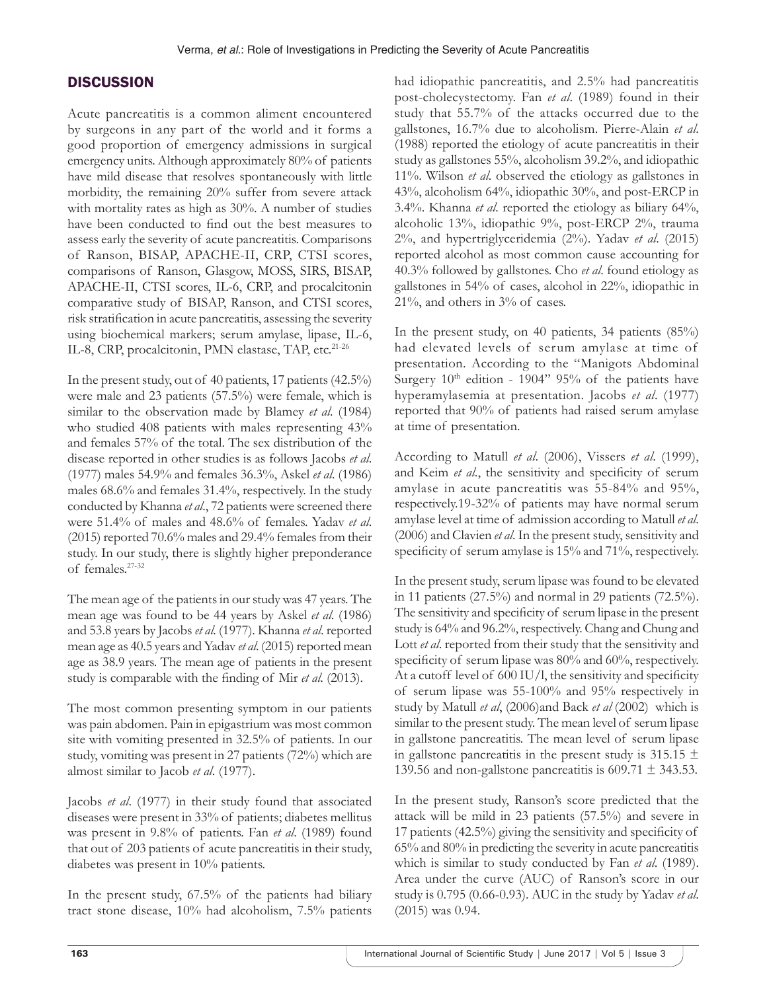# **DISCUSSION**

Acute pancreatitis is a common aliment encountered by surgeons in any part of the world and it forms a good proportion of emergency admissions in surgical emergency units. Although approximately 80% of patients have mild disease that resolves spontaneously with little morbidity, the remaining 20% suffer from severe attack with mortality rates as high as 30%. A number of studies have been conducted to find out the best measures to assess early the severity of acute pancreatitis. Comparisons of Ranson, BISAP, APACHE-II, CRP, CTSI scores, comparisons of Ranson, Glasgow, MOSS, SIRS, BISAP, APACHE-II, CTSI scores, IL-6, CRP, and procalcitonin comparative study of BISAP, Ranson, and CTSI scores, risk stratification in acute pancreatitis, assessing the severity using biochemical markers; serum amylase, lipase, IL-6, IL-8, CRP, procalcitonin, PMN elastase, TAP, etc.<sup>21-26</sup>

In the present study, out of 40 patients, 17 patients (42.5%) were male and 23 patients (57.5%) were female, which is similar to the observation made by Blamey *et al*. (1984) who studied 408 patients with males representing 43% and females 57% of the total. The sex distribution of the disease reported in other studies is as follows Jacobs *et al*. (1977) males 54.9% and females 36.3%, Askel *et al*. (1986) males 68.6% and females 31.4%, respectively. In the study conducted by Khanna *et al*., 72 patients were screened there were 51.4% of males and 48.6% of females. Yadav *et al*. (2015) reported 70.6% males and 29.4% females from their study. In our study, there is slightly higher preponderance of females.27-32

The mean age of the patients in our study was 47 years. The mean age was found to be 44 years by Askel *et al*. (1986) and 53.8 years by Jacobs *et al*. (1977). Khanna *et al*. reported mean age as 40.5 years and Yadav *et al*. (2015) reported mean age as 38.9 years. The mean age of patients in the present study is comparable with the finding of Mir *et al*. (2013).

The most common presenting symptom in our patients was pain abdomen. Pain in epigastrium was most common site with vomiting presented in 32.5% of patients. In our study, vomiting was present in 27 patients (72%) which are almost similar to Jacob *et al*. (1977).

Jacobs *et al*. (1977) in their study found that associated diseases were present in 33% of patients; diabetes mellitus was present in 9.8% of patients. Fan *et al*. (1989) found that out of 203 patients of acute pancreatitis in their study, diabetes was present in 10% patients.

In the present study, 67.5% of the patients had biliary tract stone disease, 10% had alcoholism, 7.5% patients had idiopathic pancreatitis, and 2.5% had pancreatitis post-cholecystectomy. Fan *et al*. (1989) found in their study that 55.7% of the attacks occurred due to the gallstones, 16.7% due to alcoholism. Pierre-Alain *et al*. (1988) reported the etiology of acute pancreatitis in their study as gallstones 55%, alcoholism 39.2%, and idiopathic 11%. Wilson *et al*. observed the etiology as gallstones in 43%, alcoholism 64%, idiopathic 30%, and post-ERCP in 3.4%. Khanna *et al*. reported the etiology as biliary 64%, alcoholic 13%, idiopathic 9%, post-ERCP 2%, trauma 2%, and hypertriglyceridemia (2%). Yadav *et al*. (2015) reported alcohol as most common cause accounting for 40.3% followed by gallstones. Cho *et al*. found etiology as gallstones in 54% of cases, alcohol in 22%, idiopathic in 21%, and others in 3% of cases.

In the present study, on 40 patients, 34 patients (85%) had elevated levels of serum amylase at time of presentation. According to the "Manigots Abdominal Surgery  $10^{th}$  edition - 1904" 95% of the patients have hyperamylasemia at presentation. Jacobs *et al*. (1977) reported that 90% of patients had raised serum amylase at time of presentation.

According to Matull *et al*. (2006), Vissers *et al*. (1999), and Keim *et al*., the sensitivity and specificity of serum amylase in acute pancreatitis was 55-84% and 95%, respectively.19-32% of patients may have normal serum amylase level at time of admission according to Matull *et al*. (2006) and Clavien *et al*. In the present study, sensitivity and specificity of serum amylase is 15% and 71%, respectively.

In the present study, serum lipase was found to be elevated in 11 patients (27.5%) and normal in 29 patients (72.5%). The sensitivity and specificity of serum lipase in the present study is 64% and 96.2%, respectively. Chang and Chung and Lott *et al*. reported from their study that the sensitivity and specificity of serum lipase was 80% and 60%, respectively. At a cutoff level of 600 IU/l, the sensitivity and specificity of serum lipase was 55-100% and 95% respectively in study by Matull *et al*, (2006)and Back *et al* (2002) which is similar to the present study. The mean level of serum lipase in gallstone pancreatitis. The mean level of serum lipase in gallstone pancreatitis in the present study is  $315.15 \pm$ 139.56 and non-gallstone pancreatitis is  $609.71 \pm 343.53$ .

In the present study, Ranson's score predicted that the attack will be mild in 23 patients (57.5%) and severe in 17 patients (42.5%) giving the sensitivity and specificity of 65% and 80% in predicting the severity in acute pancreatitis which is similar to study conducted by Fan *et al*. (1989). Area under the curve (AUC) of Ranson's score in our study is 0.795 (0.66-0.93). AUC in the study by Yadav *et al*. (2015) was 0.94.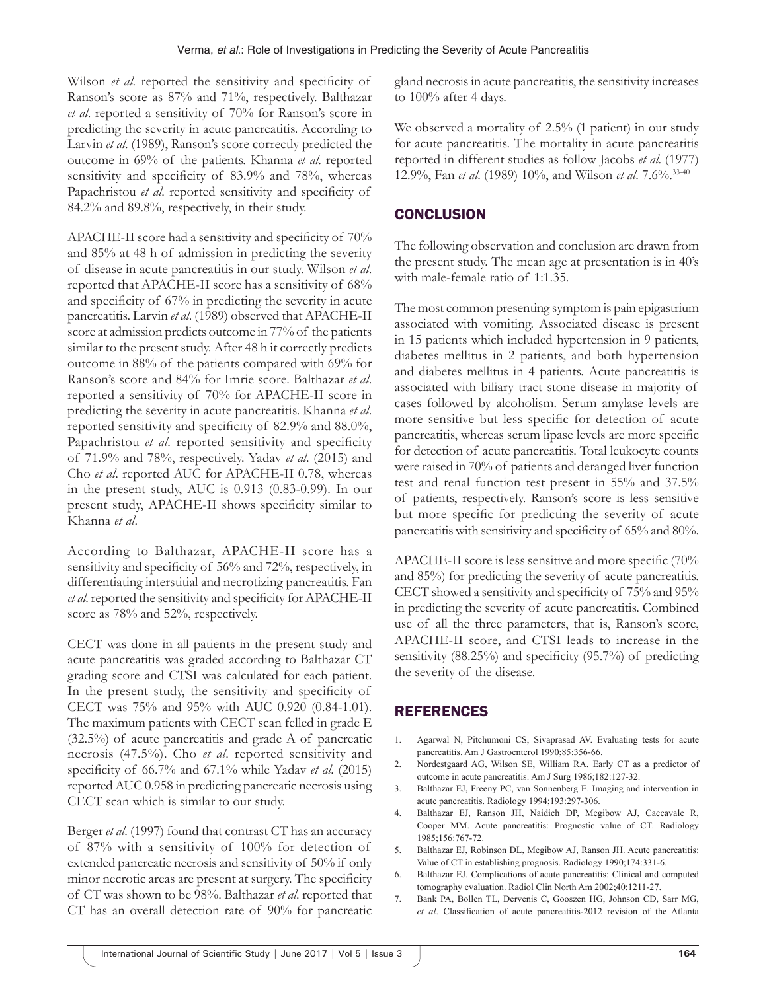Wilson *et al.* reported the sensitivity and specificity of Ranson's score as 87% and 71%, respectively. Balthazar *et al*. reported a sensitivity of 70% for Ranson's score in predicting the severity in acute pancreatitis. According to Larvin *et al*. (1989), Ranson's score correctly predicted the outcome in 69% of the patients. Khanna *et al*. reported sensitivity and specificity of 83.9% and 78%, whereas Papachristou *et al*. reported sensitivity and specificity of 84.2% and 89.8%, respectively, in their study.

APACHE-II score had a sensitivity and specificity of 70% and 85% at 48 h of admission in predicting the severity of disease in acute pancreatitis in our study. Wilson *et al*. reported that APACHE-II score has a sensitivity of 68% and specificity of 67% in predicting the severity in acute pancreatitis. Larvin *et al*. (1989) observed that APACHE-II score at admission predicts outcome in 77% of the patients similar to the present study. After 48 h it correctly predicts outcome in 88% of the patients compared with 69% for Ranson's score and 84% for Imrie score. Balthazar *et al*. reported a sensitivity of 70% for APACHE-II score in predicting the severity in acute pancreatitis. Khanna *et al*. reported sensitivity and specificity of 82.9% and 88.0%, Papachristou *et al*. reported sensitivity and specificity of 71.9% and 78%, respectively. Yadav *et al*. (2015) and Cho *et al*. reported AUC for APACHE-II 0.78, whereas in the present study, AUC is 0.913 (0.83-0.99). In our present study, APACHE-II shows specificity similar to Khanna *et al*.

According to Balthazar, APACHE-II score has a sensitivity and specificity of 56% and 72%, respectively, in differentiating interstitial and necrotizing pancreatitis. Fan *et al*. reported the sensitivity and specificity for APACHE-II score as 78% and 52%, respectively.

CECT was done in all patients in the present study and acute pancreatitis was graded according to Balthazar CT grading score and CTSI was calculated for each patient. In the present study, the sensitivity and specificity of CECT was 75% and 95% with AUC 0.920 (0.84-1.01). The maximum patients with CECT scan felled in grade E (32.5%) of acute pancreatitis and grade A of pancreatic necrosis (47.5%). Cho *et al*. reported sensitivity and specificity of 66.7% and 67.1% while Yadav *et al*. (2015) reported AUC 0.958 in predicting pancreatic necrosis using CECT scan which is similar to our study.

Berger *et al*. (1997) found that contrast CT has an accuracy of 87% with a sensitivity of 100% for detection of extended pancreatic necrosis and sensitivity of 50% if only minor necrotic areas are present at surgery. The specificity of CT was shown to be 98%. Balthazar *et al*. reported that CT has an overall detection rate of 90% for pancreatic gland necrosis in acute pancreatitis, the sensitivity increases to 100% after 4 days.

We observed a mortality of 2.5% (1 patient) in our study for acute pancreatitis. The mortality in acute pancreatitis reported in different studies as follow Jacobs *et al*. (1977) 12.9%, Fan *et al*. (1989) 10%, and Wilson *et al*. 7.6%.33-40

# **CONCLUSION**

The following observation and conclusion are drawn from the present study. The mean age at presentation is in 40's with male-female ratio of 1:1.35.

The most common presenting symptom is pain epigastrium associated with vomiting. Associated disease is present in 15 patients which included hypertension in 9 patients, diabetes mellitus in 2 patients, and both hypertension and diabetes mellitus in 4 patients. Acute pancreatitis is associated with biliary tract stone disease in majority of cases followed by alcoholism. Serum amylase levels are more sensitive but less specific for detection of acute pancreatitis, whereas serum lipase levels are more specific for detection of acute pancreatitis. Total leukocyte counts were raised in 70% of patients and deranged liver function test and renal function test present in 55% and 37.5% of patients, respectively. Ranson's score is less sensitive but more specific for predicting the severity of acute pancreatitis with sensitivity and specificity of 65% and 80%.

APACHE-II score is less sensitive and more specific (70% and 85%) for predicting the severity of acute pancreatitis. CECT showed a sensitivity and specificity of 75% and 95% in predicting the severity of acute pancreatitis. Combined use of all the three parameters, that is, Ranson's score, APACHE-II score, and CTSI leads to increase in the sensitivity (88.25%) and specificity (95.7%) of predicting the severity of the disease.

# REFERENCES

- 1. Agarwal N, Pitchumoni CS, Sivaprasad AV. Evaluating tests for acute pancreatitis. Am J Gastroenterol 1990;85:356-66.
- 2. Nordestgaard AG, Wilson SE, William RA. Early CT as a predictor of outcome in acute pancreatitis. Am J Surg 1986;182:127-32.
- 3. Balthazar EJ, Freeny PC, van Sonnenberg E. Imaging and intervention in acute pancreatitis. Radiology 1994;193:297-306.
- 4. Balthazar EJ, Ranson JH, Naidich DP, Megibow AJ, Caccavale R, Cooper MM. Acute pancreatitis: Prognostic value of CT. Radiology 1985;156:767-72.
- 5. Balthazar EJ, Robinson DL, Megibow AJ, Ranson JH. Acute pancreatitis: Value of CT in establishing prognosis. Radiology 1990;174:331-6.
- 6. Balthazar EJ. Complications of acute pancreatitis: Clinical and computed tomography evaluation. Radiol Clin North Am 2002;40:1211-27.
- 7. Bank PA, Bollen TL, Dervenis C, Gooszen HG, Johnson CD, Sarr MG, *et al*. Classification of acute pancreatitis-2012 revision of the Atlanta